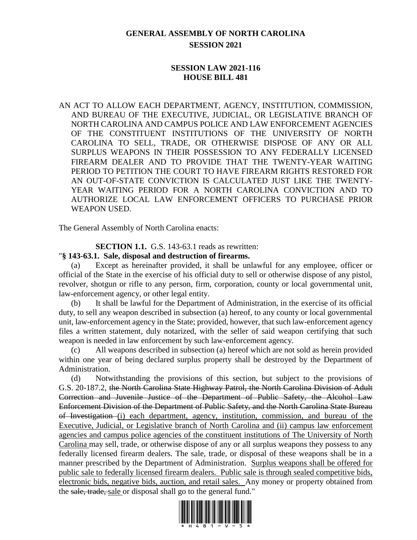## **GENERAL ASSEMBLY OF NORTH CAROLINA SESSION 2021**

### **SESSION LAW 2021-116 HOUSE BILL 481**

AN ACT TO ALLOW EACH DEPARTMENT, AGENCY, INSTITUTION, COMMISSION, AND BUREAU OF THE EXECUTIVE, JUDICIAL, OR LEGISLATIVE BRANCH OF NORTH CAROLINA AND CAMPUS POLICE AND LAW ENFORCEMENT AGENCIES OF THE CONSTITUENT INSTITUTIONS OF THE UNIVERSITY OF NORTH CAROLINA TO SELL, TRADE, OR OTHERWISE DISPOSE OF ANY OR ALL SURPLUS WEAPONS IN THEIR POSSESSION TO ANY FEDERALLY LICENSED FIREARM DEALER AND TO PROVIDE THAT THE TWENTY-YEAR WAITING PERIOD TO PETITION THE COURT TO HAVE FIREARM RIGHTS RESTORED FOR AN OUT-OF-STATE CONVICTION IS CALCULATED JUST LIKE THE TWENTY-YEAR WAITING PERIOD FOR A NORTH CAROLINA CONVICTION AND TO AUTHORIZE LOCAL LAW ENFORCEMENT OFFICERS TO PURCHASE PRIOR WEAPON USED.

The General Assembly of North Carolina enacts:

**SECTION 1.1.** G.S. 143-63.1 reads as rewritten:

#### "**§ 143-63.1. Sale, disposal and destruction of firearms.**

(a) Except as hereinafter provided, it shall be unlawful for any employee, officer or official of the State in the exercise of his official duty to sell or otherwise dispose of any pistol, revolver, shotgun or rifle to any person, firm, corporation, county or local governmental unit, law-enforcement agency, or other legal entity.

(b) It shall be lawful for the Department of Administration, in the exercise of its official duty, to sell any weapon described in subsection (a) hereof, to any county or local governmental unit, law-enforcement agency in the State; provided, however, that such law-enforcement agency files a written statement, duly notarized, with the seller of said weapon certifying that such weapon is needed in law enforcement by such law-enforcement agency.

(c) All weapons described in subsection (a) hereof which are not sold as herein provided within one year of being declared surplus property shall be destroyed by the Department of Administration.

(d) Notwithstanding the provisions of this section, but subject to the provisions of G.S. 20-187.2, the North Carolina State Highway Patrol, the North Carolina Division of Adult Correction and Juvenile Justice of the Department of Public Safety, the Alcohol Law Enforcement Division of the Department of Public Safety, and the North Carolina State Bureau of Investigation (i) each department, agency, institution, commission, and bureau of the Executive, Judicial, or Legislative branch of North Carolina and (ii) campus law enforcement agencies and campus police agencies of the constituent institutions of The University of North Carolina may sell, trade, or otherwise dispose of any or all surplus weapons they possess to any federally licensed firearm dealers. The sale, trade, or disposal of these weapons shall be in a manner prescribed by the Department of Administration. Surplus weapons shall be offered for public sale to federally licensed firearm dealers. Public sale is through sealed competitive bids, electronic bids, negative bids, auction, and retail sales. Any money or property obtained from the sale, trade, sale or disposal shall go to the general fund."

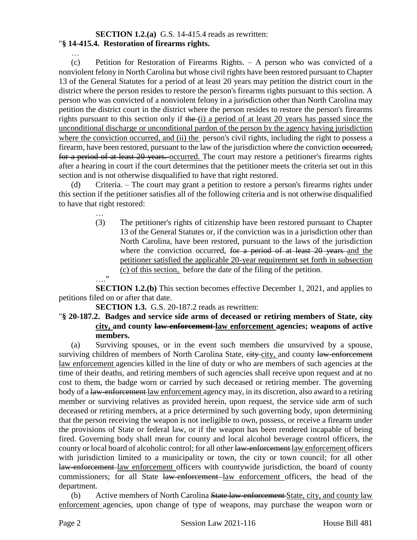# **SECTION 1.2.(a)** G.S. 14-415.4 reads as rewritten:

#### "**§ 14-415.4. Restoration of firearms rights.** …

(c) Petition for Restoration of Firearms Rights. – A person who was convicted of a nonviolent felony in North Carolina but whose civil rights have been restored pursuant to Chapter 13 of the General Statutes for a period of at least 20 years may petition the district court in the district where the person resides to restore the person's firearms rights pursuant to this section. A person who was convicted of a nonviolent felony in a jurisdiction other than North Carolina may petition the district court in the district where the person resides to restore the person's firearms rights pursuant to this section only if the (i) a period of at least 20 years has passed since the unconditional discharge or unconditional pardon of the person by the agency having jurisdiction where the conviction occurred, and (ii) the person's civil rights, including the right to possess a firearm, have been restored, pursuant to the law of the jurisdiction where the conviction occurred, for a period of at least 20 years. occurred. The court may restore a petitioner's firearms rights after a hearing in court if the court determines that the petitioner meets the criteria set out in this section and is not otherwise disqualified to have that right restored.

Criteria. – The court may grant a petition to restore a person's firearms rights under this section if the petitioner satisfies all of the following criteria and is not otherwise disqualified to have that right restored:

> … (3) The petitioner's rights of citizenship have been restored pursuant to Chapter 13 of the General Statutes or, if the conviction was in a jurisdiction other than North Carolina, have been restored, pursuant to the laws of the jurisdiction where the conviction occurred, for a period of at least 20 years and the petitioner satisfied the applicable 20-year requirement set forth in subsection (c) of this section, before the date of the filing of the petition. …."

**SECTION 1.2.(b)** This section becomes effective December 1, 2021, and applies to petitions filed on or after that date.

**SECTION 1.3.** G.S. 20-187.2 reads as rewritten:

"**§ 20-187.2. Badges and service side arms of deceased or retiring members of State, city city, and county law-enforcement law enforcement agencies; weapons of active members.**

(a) Surviving spouses, or in the event such members die unsurvived by a spouse, surviving children of members of North Carolina State, eity city, and county law-enforcement law enforcement agencies killed in the line of duty or who are members of such agencies at the time of their deaths, and retiring members of such agencies shall receive upon request and at no cost to them, the badge worn or carried by such deceased or retiring member. The governing body of a law-enforcement law enforcement agency may, in its discretion, also award to a retiring member or surviving relatives as provided herein, upon request, the service side arm of such deceased or retiring members, at a price determined by such governing body, upon determining that the person receiving the weapon is not ineligible to own, possess, or receive a firearm under the provisions of State or federal law, or if the weapon has been rendered incapable of being fired. Governing body shall mean for county and local alcohol beverage control officers, the county or local board of alcoholic control; for all other law-enforcement law enforcement officers with jurisdiction limited to a municipality or town, the city or town council; for all other law enforcement law enforcement officers with countywide jurisdiction, the board of county commissioners; for all State law-enforcement-law enforcement officers, the head of the department.

(b) Active members of North Carolina State law-enforcement State, city, and county law enforcement agencies, upon change of type of weapons, may purchase the weapon worn or